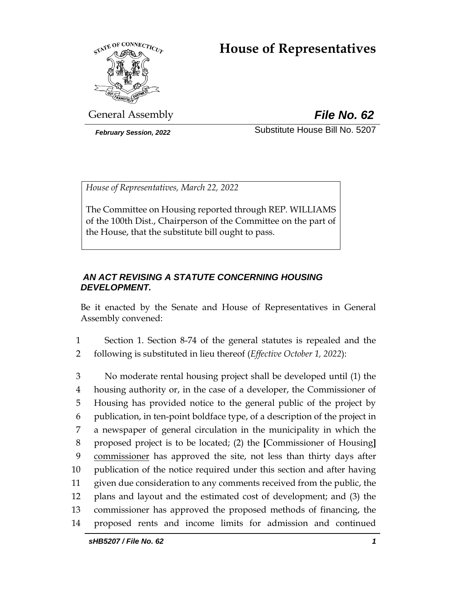# **House of Representatives**



General Assembly *File No. 62*

*February Session, 2022* Substitute House Bill No. 5207

*House of Representatives, March 22, 2022*

The Committee on Housing reported through REP. WILLIAMS of the 100th Dist., Chairperson of the Committee on the part of the House, that the substitute bill ought to pass.

# *AN ACT REVISING A STATUTE CONCERNING HOUSING DEVELOPMENT.*

Be it enacted by the Senate and House of Representatives in General Assembly convened:

1 Section 1. Section 8-74 of the general statutes is repealed and the 2 following is substituted in lieu thereof (*Effective October 1, 2022*):

 No moderate rental housing project shall be developed until (1) the housing authority or, in the case of a developer, the Commissioner of Housing has provided notice to the general public of the project by publication, in ten-point boldface type, of a description of the project in a newspaper of general circulation in the municipality in which the proposed project is to be located; (2) the **[**Commissioner of Housing**]** commissioner has approved the site, not less than thirty days after publication of the notice required under this section and after having given due consideration to any comments received from the public, the plans and layout and the estimated cost of development; and (3) the commissioner has approved the proposed methods of financing, the proposed rents and income limits for admission and continued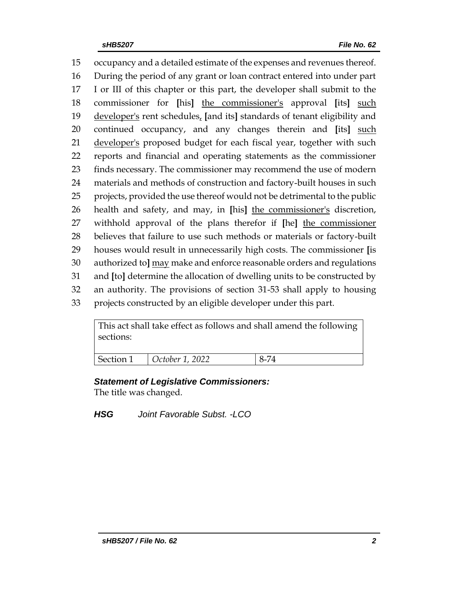occupancy and a detailed estimate of the expenses and revenues thereof. During the period of any grant or loan contract entered into under part I or III of this chapter or this part, the developer shall submit to the commissioner for **[**his**]** the commissioner's approval **[**its**]** such developer's rent schedules, **[**and its**]** standards of tenant eligibility and continued occupancy, and any changes therein and **[**its**]** such 21 developer's proposed budget for each fiscal year, together with such reports and financial and operating statements as the commissioner finds necessary. The commissioner may recommend the use of modern materials and methods of construction and factory-built houses in such projects, provided the use thereof would not be detrimental to the public health and safety, and may, in **[**his**]** the commissioner's discretion, withhold approval of the plans therefor if **[**he**]** the commissioner believes that failure to use such methods or materials or factory-built houses would result in unnecessarily high costs. The commissioner **[**is authorized to**]** may make and enforce reasonable orders and regulations and **[**to**]** determine the allocation of dwelling units to be constructed by an authority. The provisions of section 31-53 shall apply to housing projects constructed by an eligible developer under this part.

This act shall take effect as follows and shall amend the following sections:

| Section 1 | $\bigcirc$ October 1, 2022 |  |
|-----------|----------------------------|--|

## *Statement of Legislative Commissioners:*

The title was changed.

*HSG Joint Favorable Subst. -LCO*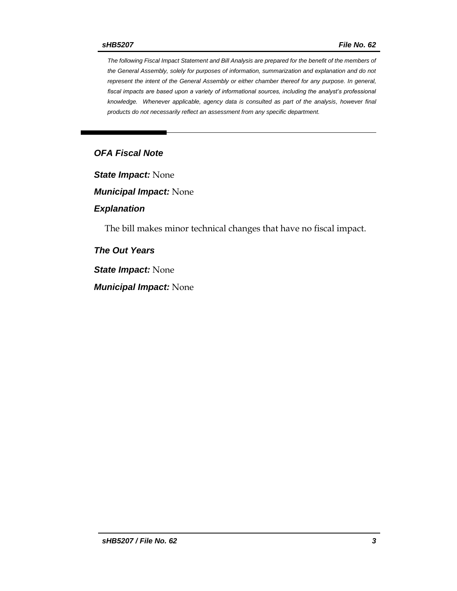*The following Fiscal Impact Statement and Bill Analysis are prepared for the benefit of the members of the General Assembly, solely for purposes of information, summarization and explanation and do not represent the intent of the General Assembly or either chamber thereof for any purpose. In general, fiscal impacts are based upon a variety of informational sources, including the analyst's professional knowledge. Whenever applicable, agency data is consulted as part of the analysis, however final products do not necessarily reflect an assessment from any specific department.*

## *OFA Fiscal Note*

*State Impact:* None

*Municipal Impact:* None

#### *Explanation*

The bill makes minor technical changes that have no fiscal impact.

*The Out Years*

*State Impact:* None

*Municipal Impact:* None